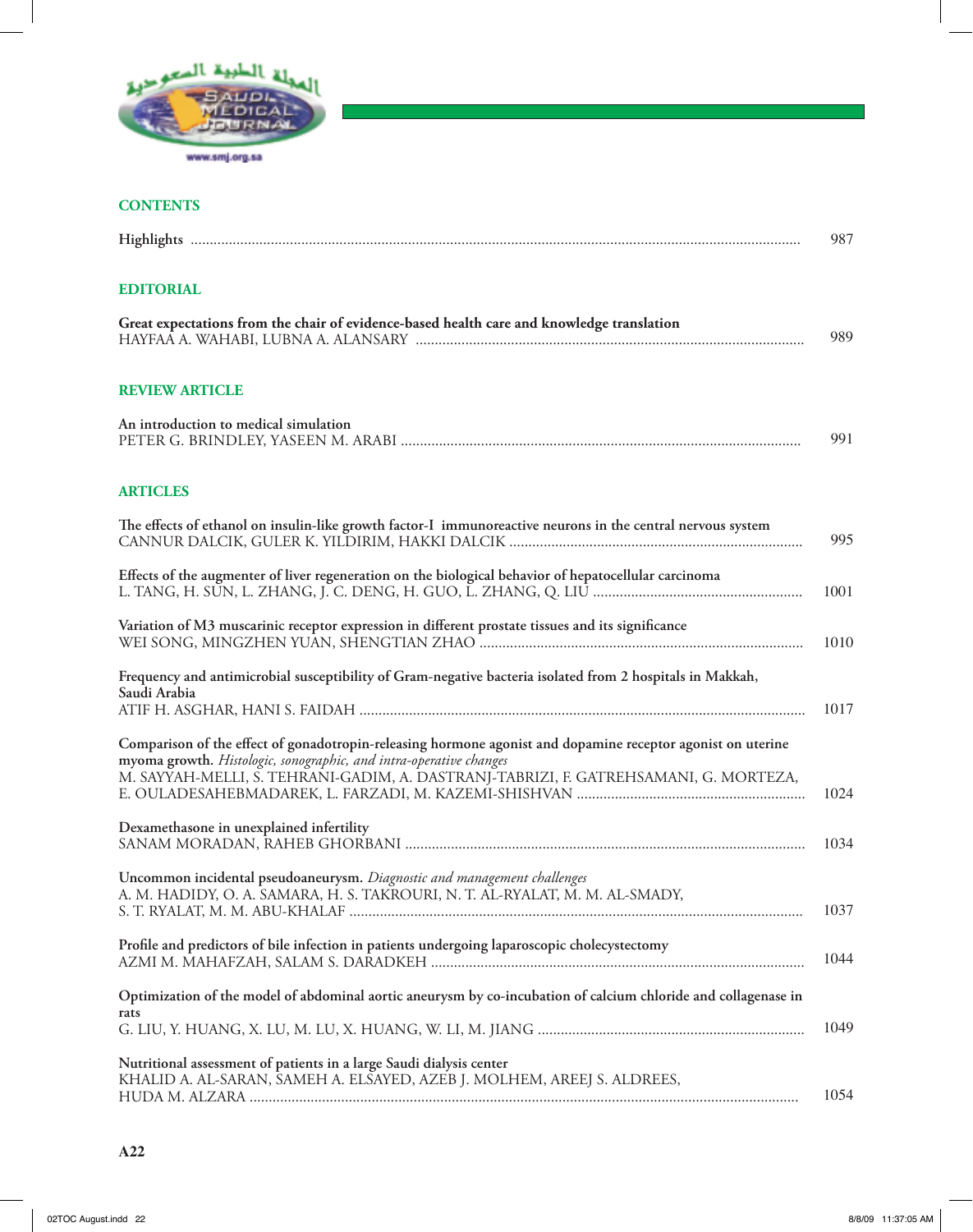

## **CONTENTS**

|                                                                                                                                                                                                                                                                           | 987  |
|---------------------------------------------------------------------------------------------------------------------------------------------------------------------------------------------------------------------------------------------------------------------------|------|
| <b>EDITORIAL</b>                                                                                                                                                                                                                                                          |      |
| Great expectations from the chair of evidence-based health care and knowledge translation                                                                                                                                                                                 | 989  |
| <b>REVIEW ARTICLE</b>                                                                                                                                                                                                                                                     |      |
| An introduction to medical simulation                                                                                                                                                                                                                                     | 991  |
| <b>ARTICLES</b>                                                                                                                                                                                                                                                           |      |
| The effects of ethanol on insulin-like growth factor-I immunoreactive neurons in the central nervous system                                                                                                                                                               | 995  |
| Effects of the augmenter of liver regeneration on the biological behavior of hepatocellular carcinoma                                                                                                                                                                     | 1001 |
| Variation of M3 muscarinic receptor expression in different prostate tissues and its significance                                                                                                                                                                         | 1010 |
| Frequency and antimicrobial susceptibility of Gram-negative bacteria isolated from 2 hospitals in Makkah,<br>Saudi Arabia                                                                                                                                                 | 1017 |
| Comparison of the effect of gonadotropin-releasing hormone agonist and dopamine receptor agonist on uterine<br>myoma growth. Histologic, sonographic, and intra-operative changes<br>M. SAYYAH-MELLI, S. TEHRANI-GADIM, A. DASTRANJ-TABRIZI, F. GATREHSAMANI, G. MORTEZA, | 1024 |
| Dexamethasone in unexplained infertility                                                                                                                                                                                                                                  | 1034 |
| Uncommon incidental pseudoaneurysm. Diagnostic and management challenges<br>A. M. HADIDY, O. A. SAMARA, H. S. TAKROURI, N. T. AL-RYALAT, M. M. AL-SMADY,                                                                                                                  | 1037 |
| Profile and predictors of bile infection in patients undergoing laparoscopic cholecystectomy                                                                                                                                                                              | 1044 |
| Optimization of the model of abdominal aortic aneurysm by co-incubation of calcium chloride and collagenase in<br>rats                                                                                                                                                    | 1049 |
| Nutritional assessment of patients in a large Saudi dialysis center<br>KHALID A. AL-SARAN, SAMEH A. ELSAYED, AZEB J. MOLHEM, AREEJ S. ALDREES,                                                                                                                            | 1054 |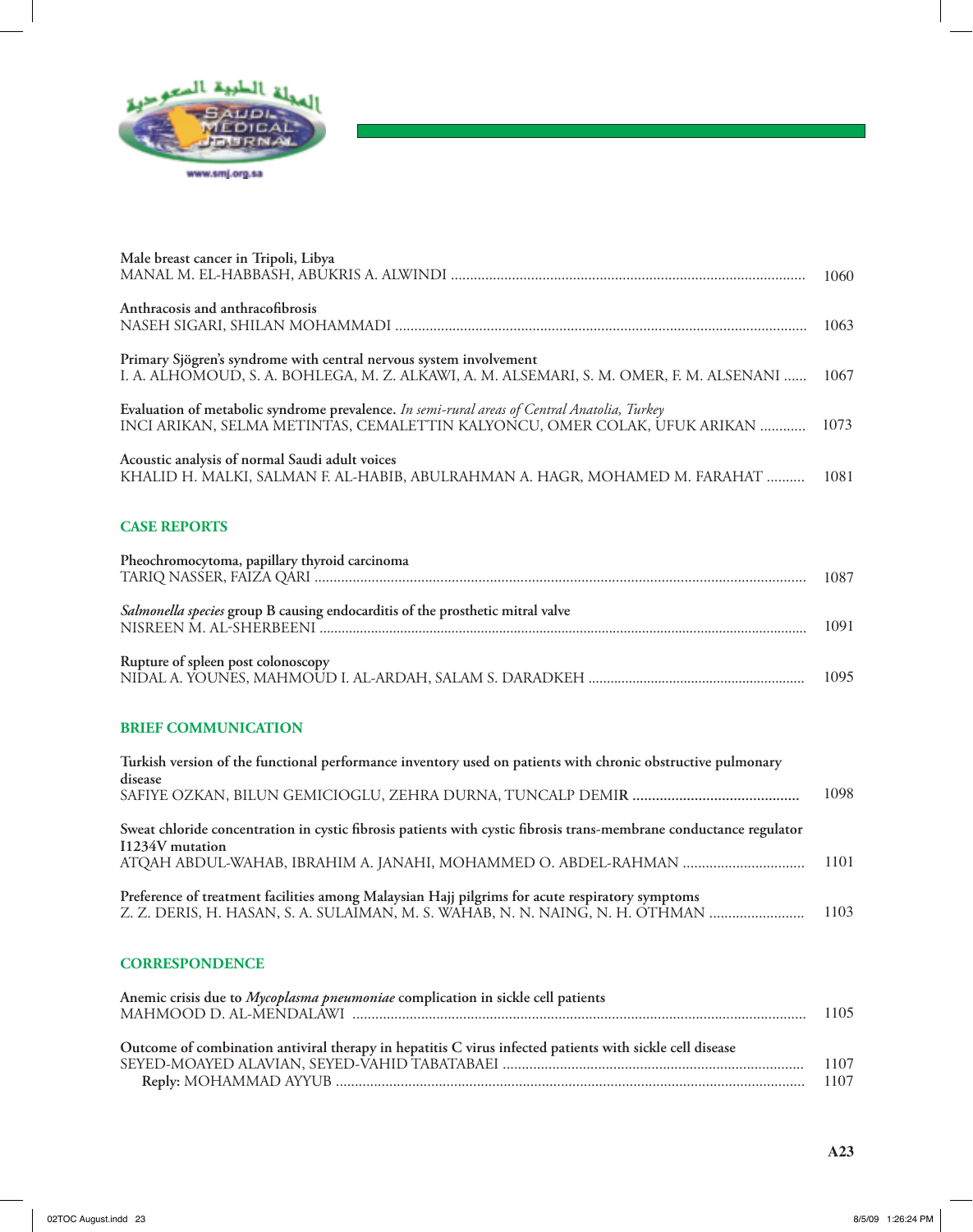

| Male breast cancer in Tripoli, Libya                                                                                                                                             | 1060 |
|----------------------------------------------------------------------------------------------------------------------------------------------------------------------------------|------|
| Anthracosis and anthracofibrosis                                                                                                                                                 | 1063 |
| Primary Sjögren's syndrome with central nervous system involvement<br>I. A. ALHOMOUD, S. A. BOHLEGA, M. Z. ALKAWI, A. M. ALSEMARI, S. M. OMER, F. M. ALSENANI                    | 1067 |
| Evaluation of metabolic syndrome prevalence. In semi-rural areas of Central Anatolia, Turkey<br>INCI ARIKAN, SELMA METINTAS, CEMALETTIN KALYONCU, OMER COLAK, UFUK ARIKAN        | 1073 |
| Acoustic analysis of normal Saudi adult voices<br>KHALID H. MALKI, SALMAN F. AL-HABIB, ABULRAHMAN A. HAGR, MOHAMED M. FARAHAT                                                    | 1081 |
| <b>CASE REPORTS</b>                                                                                                                                                              |      |
| Pheochromocytoma, papillary thyroid carcinoma                                                                                                                                    | 1087 |
| Salmonella species group B causing endocarditis of the prosthetic mitral valve                                                                                                   | 1091 |
| Rupture of spleen post colonoscopy                                                                                                                                               | 1095 |
| <b>BRIEF COMMUNICATION</b>                                                                                                                                                       |      |
| Turkish version of the functional performance inventory used on patients with chronic obstructive pulmonary                                                                      |      |
| disease                                                                                                                                                                          | 1098 |
| Sweat chloride concentration in cystic fibrosis patients with cystic fibrosis trans-membrane conductance regulator<br>I1234V mutation                                            |      |
|                                                                                                                                                                                  | 1101 |
| Preference of treatment facilities among Malaysian Hajj pilgrims for acute respiratory symptoms<br>Z. Z. DERIS, H. HASAN, S. A. SULAIMAN, M. S. WAHAB, N. N. NAING, N. H. OTHMAN | 1103 |
| <b>CORRESPONDENCE</b>                                                                                                                                                            |      |

| Anemic crisis due to Mycoplasma pneumoniae complication in sickle cell patients                          | 1105 |
|----------------------------------------------------------------------------------------------------------|------|
| Outcome of combination antiviral therapy in hepatitis C virus infected patients with sickle cell disease |      |
|                                                                                                          | 1107 |
|                                                                                                          | 1107 |